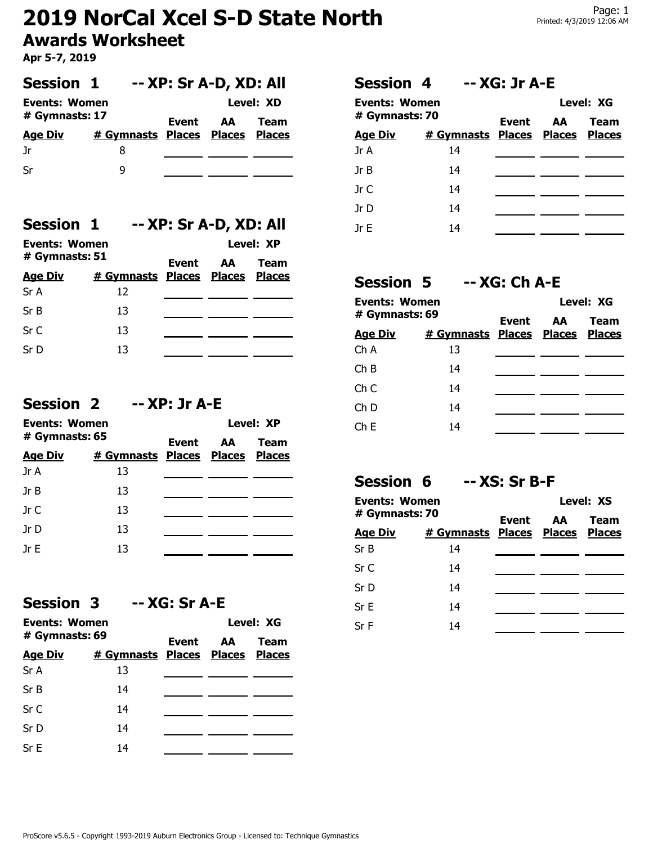# **2019 NorCal Xcel S-D State North Awards Worksheet**

**Apr 5-7, 2019**

| <b>Session 1</b>                       |                                 | -- XP: Sr A-D, XD: All |          |                   |  |
|----------------------------------------|---------------------------------|------------------------|----------|-------------------|--|
| <b>Events: Women</b><br># Gymnasts: 17 |                                 |                        | Event AA | Level: XD<br>Team |  |
| <b>Age Div</b>                         | # Gymnasts Places Places Places |                        |          |                   |  |
| .Jr                                    | 8                               |                        |          |                   |  |
| Sr                                     | q                               |                        |          |                   |  |

### **Session 1 -- XP: Sr A-D, XD: All**

| Events: Women                       |                                 |       | Level: XP |      |
|-------------------------------------|---------------------------------|-------|-----------|------|
| $\#$ Gymnasts: 51<br><b>Age Div</b> | # Gymnasts Places Places Places | Event | AA        | Team |
| Sr A                                | 12                              |       |           |      |
| Sr B                                | 13                              |       |           |      |
| Sr C                                | 13                              |       |           |      |
| Sr D                                | 13                              |       |           |      |

### **Session 2 -- XP: Jr A-E**

| Events: Women<br>$#$ Gymnasts: 65 |                                 | Event | Level: XP |      |  |
|-----------------------------------|---------------------------------|-------|-----------|------|--|
|                                   |                                 |       | AA.       | Team |  |
| <b>Age Div</b>                    | # Gymnasts Places Places Places |       |           |      |  |
| Jr A                              | 13                              |       |           |      |  |
| Jr B                              | 13                              |       |           |      |  |
| Jr $C$                            | 13                              |       |           |      |  |
| Jr D                              | 13                              |       |           |      |  |
| IrF                               | 13                              |       |           |      |  |

#### **Session 3**

| Events: Women  |                                 |       | Level: XG |             |  |
|----------------|---------------------------------|-------|-----------|-------------|--|
| # Gymnasts: 69 |                                 | Event | AA        | <b>Team</b> |  |
| <b>Age Div</b> | # Gymnasts Places Places Places |       |           |             |  |
| Sr A           | 13                              |       |           |             |  |
| Sr B           | 14                              |       |           |             |  |
| Sr C           | 14                              |       |           |             |  |
| Sr D           | 14                              |       |           |             |  |
| SrE            | 14                              |       |           |             |  |

### **Session 4 -- XG: Jr A-E**

| Events: Women<br># Gymnasts: 70<br># Gymnasts Places Places Places<br><u>Age Div</u> |    | Event | Level: XG |             |  |
|--------------------------------------------------------------------------------------|----|-------|-----------|-------------|--|
|                                                                                      |    |       | AA I      | <b>Team</b> |  |
| Jr A                                                                                 | 14 |       |           |             |  |
| Jr B                                                                                 | 14 |       |           |             |  |
| Jr C                                                                                 | 14 |       |           |             |  |
| Jr D                                                                                 | 14 |       |           |             |  |
| IrF                                                                                  | 14 |       |           |             |  |

### **Session 5 -- XG: Ch A-E**

| <b>Events: Women</b><br># Gymnasts: 69 |                                 | Event | Level: XG |      |  |
|----------------------------------------|---------------------------------|-------|-----------|------|--|
|                                        |                                 |       | AA        | Team |  |
| <b>Age Div</b>                         | # Gymnasts Places Places Places |       |           |      |  |
| ChA                                    | 13                              |       |           |      |  |
| ChB                                    | 14                              |       |           |      |  |
| Ch C                                   | 14                              |       |           |      |  |
| Ch D                                   | 14                              |       |           |      |  |
| ChE                                    | 14                              |       |           |      |  |
|                                        |                                 |       |           |      |  |

## **Session 6 -- XS: Sr B-F**

| Events: Women<br># Gymnasts: 70 |                                 | Event | Level: XS |             |  |
|---------------------------------|---------------------------------|-------|-----------|-------------|--|
|                                 |                                 |       | AA        | <b>Team</b> |  |
| <b>Age Div</b>                  | # Gymnasts Places Places Places |       |           |             |  |
| SrB                             | 14                              |       |           |             |  |
| Sr C                            | 14                              |       |           |             |  |
| Sr D                            | 14                              |       |           |             |  |
| Sr E                            | 14                              |       |           |             |  |
| Sr F                            | 14                              |       |           |             |  |